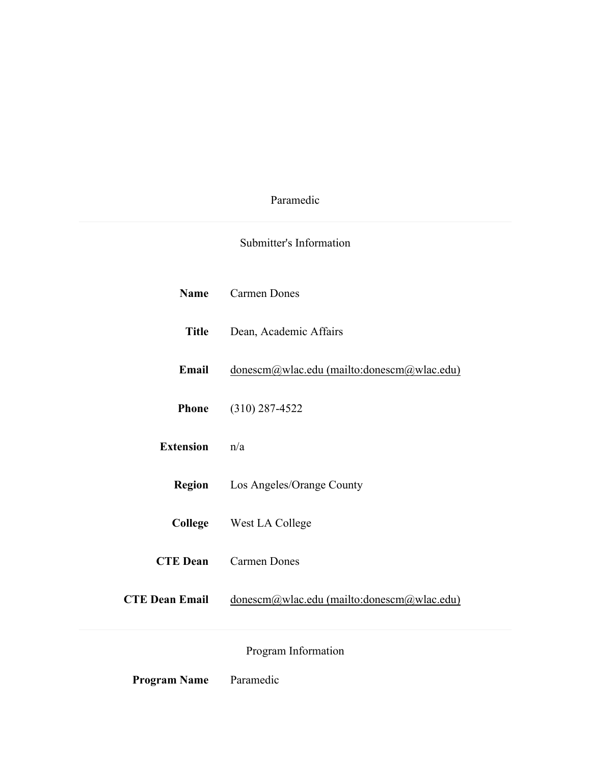# Paramedic

# Submitter's Information

| <b>Name</b>           | <b>Carmen Dones</b>                        |
|-----------------------|--------------------------------------------|
| <b>Title</b>          | Dean, Academic Affairs                     |
| Email                 | donescm@wlac.edu (mailto:donescm@wlac.edu) |
| <b>Phone</b>          | $(310)$ 287-4522                           |
| <b>Extension</b>      | n/a                                        |
| <b>Region</b>         | Los Angeles/Orange County                  |
|                       | <b>College</b> West LA College             |
| <b>CTE Dean</b>       | <b>Carmen Dones</b>                        |
| <b>CTE Dean Email</b> | donescm@wlac.edu (mailto:donescm@wlac.edu) |
|                       | Program Information                        |

Program Name Paramedic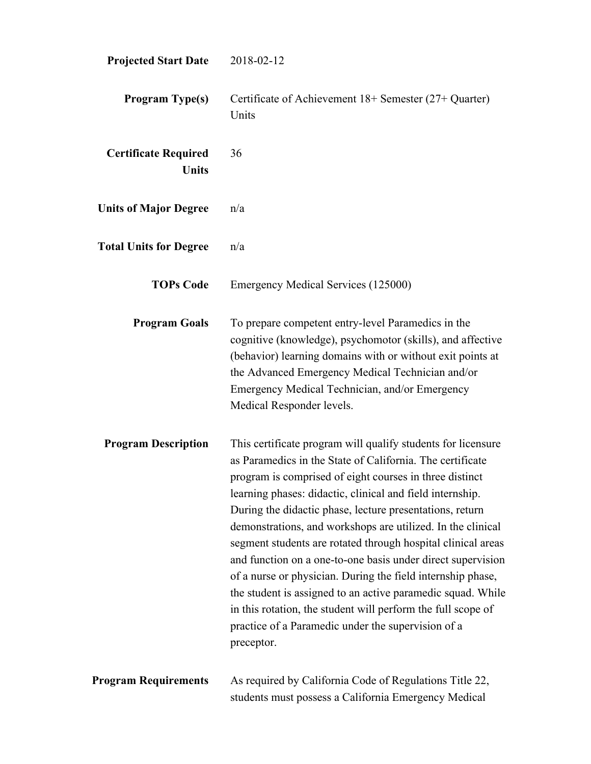| <b>Projected Start Date</b>                 | 2018-02-12                                                                                                                                                                                                                                                                                                                                                                                                                                                                                                                                                                                                                                                                                                                                                                    |
|---------------------------------------------|-------------------------------------------------------------------------------------------------------------------------------------------------------------------------------------------------------------------------------------------------------------------------------------------------------------------------------------------------------------------------------------------------------------------------------------------------------------------------------------------------------------------------------------------------------------------------------------------------------------------------------------------------------------------------------------------------------------------------------------------------------------------------------|
| <b>Program Type(s)</b>                      | Certificate of Achievement 18+ Semester (27+ Quarter)<br>Units                                                                                                                                                                                                                                                                                                                                                                                                                                                                                                                                                                                                                                                                                                                |
| <b>Certificate Required</b><br><b>Units</b> | 36                                                                                                                                                                                                                                                                                                                                                                                                                                                                                                                                                                                                                                                                                                                                                                            |
| <b>Units of Major Degree</b>                | n/a                                                                                                                                                                                                                                                                                                                                                                                                                                                                                                                                                                                                                                                                                                                                                                           |
| <b>Total Units for Degree</b>               | n/a                                                                                                                                                                                                                                                                                                                                                                                                                                                                                                                                                                                                                                                                                                                                                                           |
| <b>TOPs Code</b>                            | Emergency Medical Services (125000)                                                                                                                                                                                                                                                                                                                                                                                                                                                                                                                                                                                                                                                                                                                                           |
| <b>Program Goals</b>                        | To prepare competent entry-level Paramedics in the<br>cognitive (knowledge), psychomotor (skills), and affective<br>(behavior) learning domains with or without exit points at<br>the Advanced Emergency Medical Technician and/or<br>Emergency Medical Technician, and/or Emergency<br>Medical Responder levels.                                                                                                                                                                                                                                                                                                                                                                                                                                                             |
| <b>Program Description</b>                  | This certificate program will qualify students for licensure<br>as Paramedics in the State of California. The certificate<br>program is comprised of eight courses in three distinct<br>learning phases: didactic, clinical and field internship.<br>During the didactic phase, lecture presentations, return<br>demonstrations, and workshops are utilized. In the clinical<br>segment students are rotated through hospital clinical areas<br>and function on a one-to-one basis under direct supervision<br>of a nurse or physician. During the field internship phase,<br>the student is assigned to an active paramedic squad. While<br>in this rotation, the student will perform the full scope of<br>practice of a Paramedic under the supervision of a<br>preceptor. |
| <b>Program Requirements</b>                 | As required by California Code of Regulations Title 22,<br>students must possess a California Emergency Medical                                                                                                                                                                                                                                                                                                                                                                                                                                                                                                                                                                                                                                                               |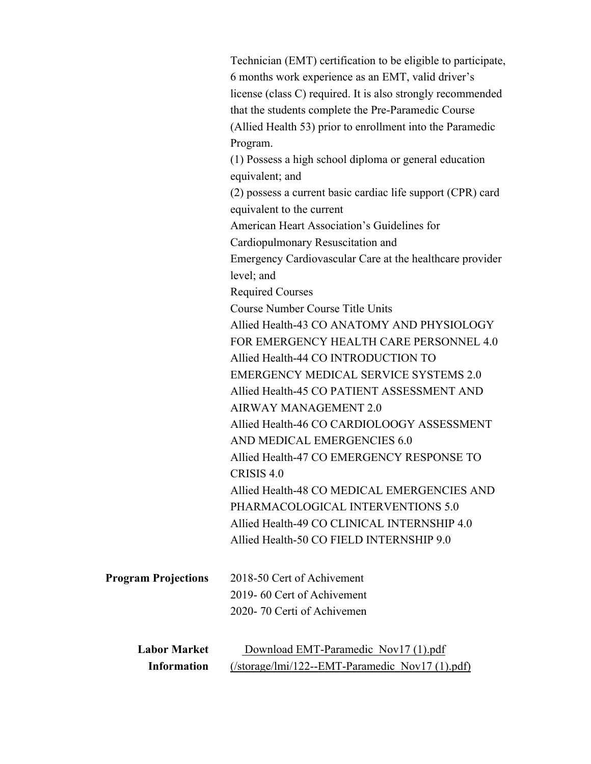|                            | Technician (EMT) certification to be eligible to participate, |
|----------------------------|---------------------------------------------------------------|
|                            | 6 months work experience as an EMT, valid driver's            |
|                            | license (class C) required. It is also strongly recommended   |
|                            | that the students complete the Pre-Paramedic Course           |
|                            | (Allied Health 53) prior to enrollment into the Paramedic     |
|                            | Program.                                                      |
|                            | (1) Possess a high school diploma or general education        |
|                            | equivalent; and                                               |
|                            | (2) possess a current basic cardiac life support (CPR) card   |
|                            | equivalent to the current                                     |
|                            | American Heart Association's Guidelines for                   |
|                            | Cardiopulmonary Resuscitation and                             |
|                            | Emergency Cardiovascular Care at the healthcare provider      |
|                            | level; and                                                    |
|                            | <b>Required Courses</b>                                       |
|                            | <b>Course Number Course Title Units</b>                       |
|                            | Allied Health-43 CO ANATOMY AND PHYSIOLOGY                    |
|                            | FOR EMERGENCY HEALTH CARE PERSONNEL 4.0                       |
|                            | Allied Health-44 CO INTRODUCTION TO                           |
|                            | <b>EMERGENCY MEDICAL SERVICE SYSTEMS 2.0</b>                  |
|                            | Allied Health-45 CO PATIENT ASSESSMENT AND                    |
|                            | <b>AIRWAY MANAGEMENT 2.0</b>                                  |
|                            | Allied Health-46 CO CARDIOLOOGY ASSESSMENT                    |
|                            | AND MEDICAL EMERGENCIES 6.0                                   |
|                            | Allied Health-47 CO EMERGENCY RESPONSE TO                     |
|                            | CRISIS 4.0                                                    |
|                            | Allied Health-48 CO MEDICAL EMERGENCIES AND                   |
|                            | PHARMACOLOGICAL INTERVENTIONS 5.0                             |
|                            | Allied Health-49 CO CLINICAL INTERNSHIP 4.0                   |
|                            | Allied Health-50 CO FIELD INTERNSHIP 9.0                      |
| <b>Program Projections</b> | 2018-50 Cert of Achivement                                    |
|                            | 2019-60 Cert of Achivement                                    |
|                            | 2020-70 Certi of Achivemen                                    |
| <b>Labor Market</b>        | Download EMT-Paramedic Nov17 (1).pdf                          |
| <b>Information</b>         | (/storage/lmi/122--EMT-Paramedic Nov17 (1).pdf)               |
|                            |                                                               |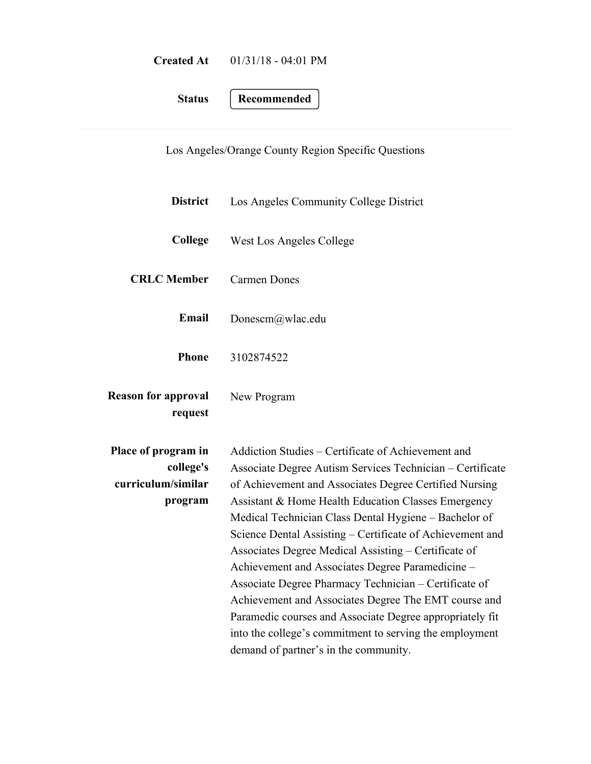| <b>Created At</b> | $01/31/18 - 04:01 \text{ PM}$ |
|-------------------|-------------------------------|
|                   |                               |

**Status Recommended**

Los Angeles/Orange County Region Specific Questions

| <b>District</b>                                                   | Los Angeles Community College District                                                                                                                                                                                                                                                                                                                                                                                                                                                                                                                                                                                                                                                                                                              |  |
|-------------------------------------------------------------------|-----------------------------------------------------------------------------------------------------------------------------------------------------------------------------------------------------------------------------------------------------------------------------------------------------------------------------------------------------------------------------------------------------------------------------------------------------------------------------------------------------------------------------------------------------------------------------------------------------------------------------------------------------------------------------------------------------------------------------------------------------|--|
| College                                                           | West Los Angeles College                                                                                                                                                                                                                                                                                                                                                                                                                                                                                                                                                                                                                                                                                                                            |  |
| <b>CRLC</b> Member                                                | <b>Carmen Dones</b>                                                                                                                                                                                                                                                                                                                                                                                                                                                                                                                                                                                                                                                                                                                                 |  |
| Email                                                             | Donescm@wlac.edu                                                                                                                                                                                                                                                                                                                                                                                                                                                                                                                                                                                                                                                                                                                                    |  |
| <b>Phone</b>                                                      | 3102874522                                                                                                                                                                                                                                                                                                                                                                                                                                                                                                                                                                                                                                                                                                                                          |  |
| <b>Reason for approval</b><br>request                             | New Program                                                                                                                                                                                                                                                                                                                                                                                                                                                                                                                                                                                                                                                                                                                                         |  |
| Place of program in<br>college's<br>curriculum/similar<br>program | Addiction Studies – Certificate of Achievement and<br>Associate Degree Autism Services Technician - Certificate<br>of Achievement and Associates Degree Certified Nursing<br>Assistant & Home Health Education Classes Emergency<br>Medical Technician Class Dental Hygiene - Bachelor of<br>Science Dental Assisting – Certificate of Achievement and<br>Associates Degree Medical Assisting - Certificate of<br>Achievement and Associates Degree Paramedicine -<br>Associate Degree Pharmacy Technician - Certificate of<br>Achievement and Associates Degree The EMT course and<br>Paramedic courses and Associate Degree appropriately fit<br>into the college's commitment to serving the employment<br>demand of partner's in the community. |  |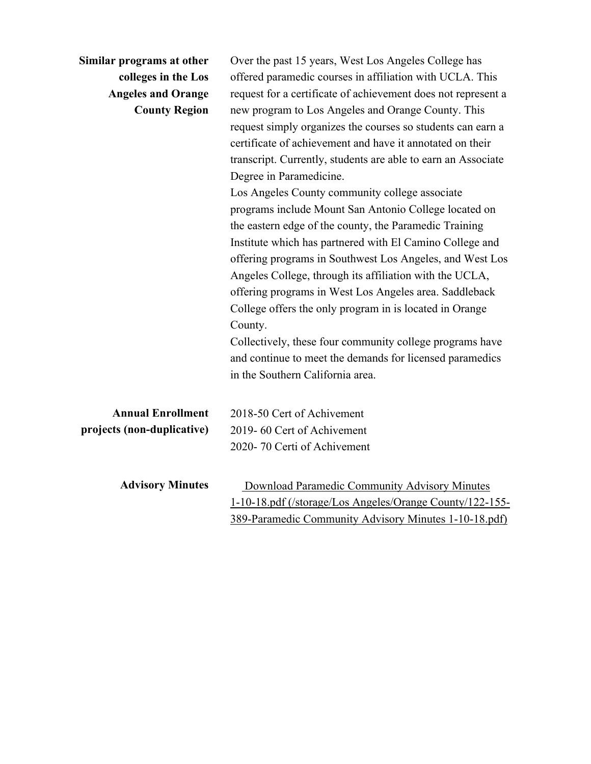| Similar programs at other<br>colleges in the Los<br><b>Angeles and Orange</b><br><b>County Region</b> | Over the past 15 years, West Los Angeles College has<br>offered paramedic courses in affiliation with UCLA. This<br>request for a certificate of achievement does not represent a<br>new program to Los Angeles and Orange County. This<br>request simply organizes the courses so students can earn a<br>certificate of achievement and have it annotated on their<br>transcript. Currently, students are able to earn an Associate<br>Degree in Paramedicine.<br>Los Angeles County community college associate<br>programs include Mount San Antonio College located on<br>the eastern edge of the county, the Paramedic Training<br>Institute which has partnered with El Camino College and<br>offering programs in Southwest Los Angeles, and West Los<br>Angeles College, through its affiliation with the UCLA,<br>offering programs in West Los Angeles area. Saddleback<br>College offers the only program in is located in Orange<br>County.<br>Collectively, these four community college programs have<br>and continue to meet the demands for licensed paramedics<br>in the Southern California area. |
|-------------------------------------------------------------------------------------------------------|---------------------------------------------------------------------------------------------------------------------------------------------------------------------------------------------------------------------------------------------------------------------------------------------------------------------------------------------------------------------------------------------------------------------------------------------------------------------------------------------------------------------------------------------------------------------------------------------------------------------------------------------------------------------------------------------------------------------------------------------------------------------------------------------------------------------------------------------------------------------------------------------------------------------------------------------------------------------------------------------------------------------------------------------------------------------------------------------------------------------|
| <b>Annual Enrollment</b><br>projects (non-duplicative)                                                | 2018-50 Cert of Achivement<br>2019-60 Cert of Achivement<br>2020-70 Certi of Achivement                                                                                                                                                                                                                                                                                                                                                                                                                                                                                                                                                                                                                                                                                                                                                                                                                                                                                                                                                                                                                             |
| <b>Advisory Minutes</b>                                                                               | Download Paramedic Community Advisory Minutes<br>1-10-18.pdf (/storage/Los Angeles/Orange County/122-155-<br>389-Paramedic Community Advisory Minutes 1-10-18.pdf)                                                                                                                                                                                                                                                                                                                                                                                                                                                                                                                                                                                                                                                                                                                                                                                                                                                                                                                                                  |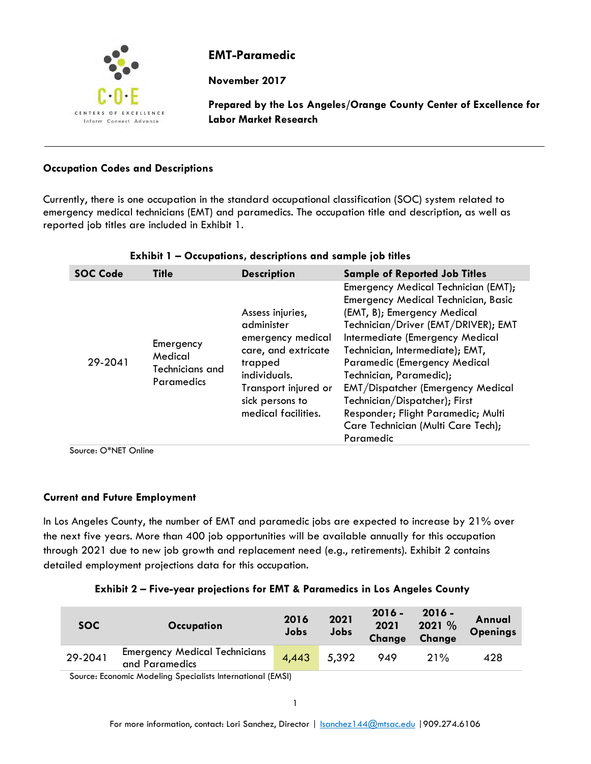

# **EMT-Paramedic**

**November 2017**

**Prepared by the Los Angeles/Orange County Center of Excellence for Labor Market Research**

### **Occupation Codes and Descriptions**

Currently, there is one occupation in the standard occupational classification (SOC) system related to emergency medical technicians (EMT) and paramedics. The occupation title and description, as well as reported job titles are included in Exhibit 1.

| <b>SOC Code</b> | <b>Title</b>                                                 | <b>Description</b>                                                                                                                                                      | <b>Sample of Reported Job Titles</b>                                                                                                                                                                                                                                                                                                                                                                                                                    |  |  |
|-----------------|--------------------------------------------------------------|-------------------------------------------------------------------------------------------------------------------------------------------------------------------------|---------------------------------------------------------------------------------------------------------------------------------------------------------------------------------------------------------------------------------------------------------------------------------------------------------------------------------------------------------------------------------------------------------------------------------------------------------|--|--|
| 29-2041         | Emergency<br>Medical<br>Technicians and<br><b>Paramedics</b> | Assess injuries,<br>administer<br>emergency medical<br>care, and extricate<br>trapped<br>individuals.<br>Transport injured or<br>sick persons to<br>medical facilities. | Emergency Medical Technician (EMT);<br>Emergency Medical Technician, Basic<br>(EMT, B); Emergency Medical<br>Technician/Driver (EMT/DRIVER); EMT<br>Intermediate (Emergency Medical<br>Technician, Intermediate); EMT,<br>Paramedic (Emergency Medical<br>Technician, Paramedic);<br><b>EMT/Dispatcher (Emergency Medical</b><br>Technician/Dispatcher); First<br>Responder; Flight Paramedic; Multi<br>Care Technician (Multi Care Tech);<br>Paramedic |  |  |

#### **Exhibit 1 – Occupations, descriptions and sample job titles**

Source: O\*NET Online

#### **Current and Future Employment**

In Los Angeles County, the number of EMT and paramedic jobs are expected to increase by 21% over the next five years. More than 400 job opportunities will be available annually for this occupation through 2021 due to new job growth and replacement need (e.g., retirements). Exhibit 2 contains detailed employment projections data for this occupation.

| <b>Exhibit 2 - Five-year projections for EMT &amp; Paramedics in Los Angeles County</b> |  |  |  |
|-----------------------------------------------------------------------------------------|--|--|--|
|                                                                                         |  |  |  |

| <b>SOC</b> | <b>Occupation</b>                                      | 2016<br>Jobs | 2021<br>Jobs | $2016 -$<br>2021<br><b>Change</b> | $2016 -$<br>2021 %<br>Change | Annual<br><b>Openings</b> |
|------------|--------------------------------------------------------|--------------|--------------|-----------------------------------|------------------------------|---------------------------|
| 29-2041    | <b>Emergency Medical Technicians</b><br>and Paramedics | 4,443        | 5,392        | 949                               | 21%                          | 428                       |

Source: Economic Modeling Specialists International (EMSI)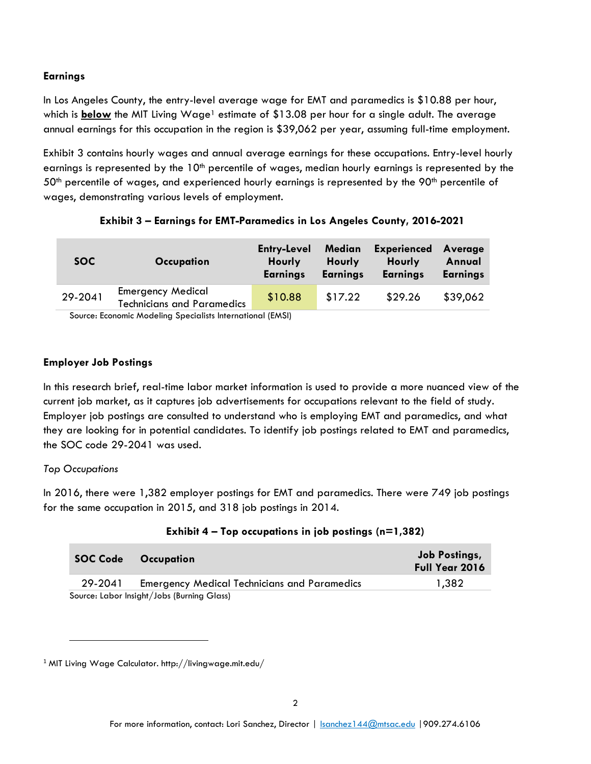## **Earnings**

In Los Angeles County, the entry-level average wage for EMT and paramedics is \$10.88 per hour, which is **below** the MIT Living Wage<sup>1</sup> estimate of \$13.08 per hour for a single adult. The average annual earnings for this occupation in the region is \$39,062 per year, assuming full-time employment.

Exhibit 3 contains hourly wages and annual average earnings for these occupations. Entry-level hourly earnings is represented by the  $10<sup>th</sup>$  percentile of wages, median hourly earnings is represented by the  $50<sup>th</sup>$  percentile of wages, and experienced hourly earnings is represented by the 90<sup>th</sup> percentile of wages, demonstrating various levels of employment.

| SOC.    | Occupation                                                         | <b>Entry-Level</b><br><b>Hourly</b><br><b>Earnings</b> | Median<br>Hourly<br><b>Earnings</b> | <b>Experienced</b><br>Hourly<br><b>Earnings</b> | Average<br>Annual<br><b>Earnings</b> |  |
|---------|--------------------------------------------------------------------|--------------------------------------------------------|-------------------------------------|-------------------------------------------------|--------------------------------------|--|
| 29-2041 | <b>Emergency Medical</b><br><b>Technicians and Paramedics</b>      | \$10.88                                                | \$17.22                             | \$29.26                                         | \$39,062                             |  |
|         | Carriera - Facerente Mardelton, Corretalteta lotano estabel (FMCB) |                                                        |                                     |                                                 |                                      |  |

# **Exhibit 3 – Earnings for EMT-Paramedics in Los Angeles County, 2016-2021**

Source: Economic Modeling Specialists International (EMSI)

### **Employer Job Postings**

In this research brief, real-time labor market information is used to provide a more nuanced view of the current job market, as it captures job advertisements for occupations relevant to the field of study. Employer job postings are consulted to understand who is employing EMT and paramedics, and what they are looking for in potential candidates. To identify job postings related to EMT and paramedics, the SOC code 29-2041 was used.

#### *Top Occupations*

 $\overline{\phantom{a}}$ 

In 2016, there were 1,382 employer postings for EMT and paramedics. There were 749 job postings for the same occupation in 2015, and 318 job postings in 2014.

|         | <b>SOC Code Occupation</b>                          | <b>Job Postings,</b><br>Full Year 2016 |
|---------|-----------------------------------------------------|----------------------------------------|
| 29-2041 | <b>Emergency Medical Technicians and Paramedics</b> | 1.382                                  |
|         | Source: Labor Insight/Jobs (Burning Glass)          |                                        |

# **Exhibit 4 – Top occupations in job postings (n=1,382)**

<sup>1</sup> MIT Living Wage Calculator. http://livingwage.mit.edu/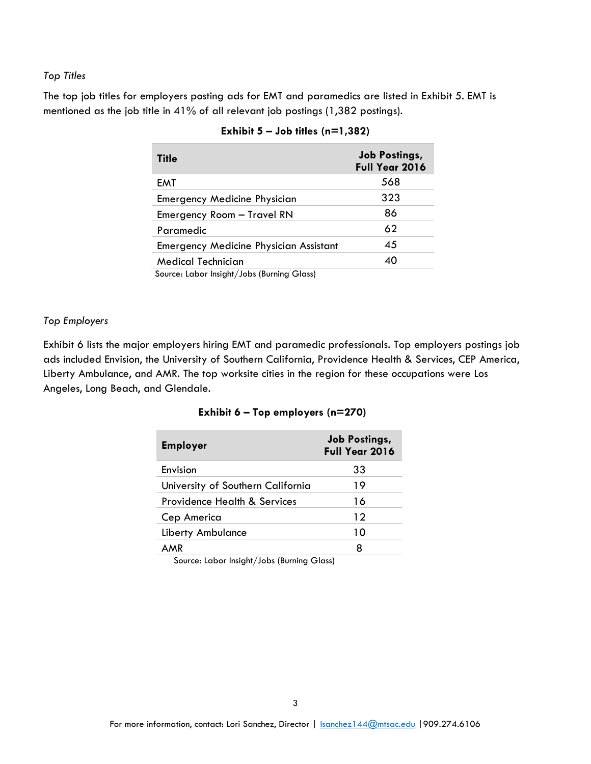#### *Top Titles*

The top job titles for employers posting ads for EMT and paramedics are listed in Exhibit 5. EMT is mentioned as the job title in 41% of all relevant job postings (1,382 postings).

| <b>Title</b>                                  | <b>Job Postings,</b><br>Full Year 2016 |
|-----------------------------------------------|----------------------------------------|
| EMT                                           | 568                                    |
| <b>Emergency Medicine Physician</b>           | 323                                    |
| Emergency Room - Travel RN                    | 86                                     |
| Paramedic                                     | 62                                     |
| <b>Emergency Medicine Physician Assistant</b> | 45                                     |
| Medical Technician                            | 40                                     |
| Source: Labor Insight (John (Burning Class)   |                                        |

|  | Exhibit $5 -$ Job titles (n=1,382) |  |  |  |
|--|------------------------------------|--|--|--|
|--|------------------------------------|--|--|--|

Source: Labor Insight/Jobs (Burning Glass)

#### *Top Employers*

Exhibit 6 lists the major employers hiring EMT and paramedic professionals. Top employers postings job ads included Envision, the University of Southern California, Providence Health & Services, CEP America, Liberty Ambulance, and AMR. The top worksite cities in the region for these occupations were Los Angeles, Long Beach, and Glendale.

| <b>Employer</b>                   | <b>Job Postings,</b><br>Full Year 2016 |
|-----------------------------------|----------------------------------------|
| Envision                          | 33                                     |
| University of Southern California | 19                                     |
| Providence Health & Services      | 16                                     |
| Cep America                       | 12                                     |
| Liberty Ambulance                 | 10                                     |
|                                   | 8                                      |

#### **Exhibit 6 – Top employers (n=270)**

Source: Labor Insight/Jobs (Burning Glass)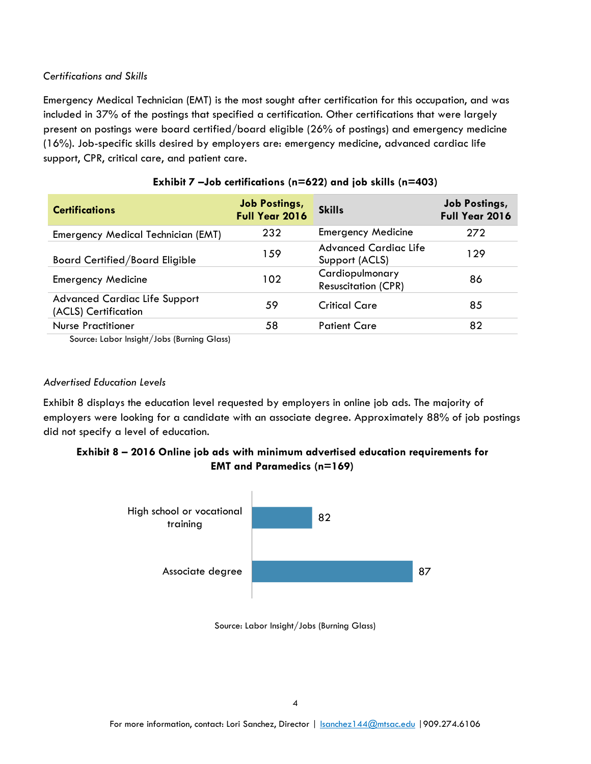### *Certifications and Skills*

Emergency Medical Technician (EMT) is the most sought after certification for this occupation, and was included in 37% of the postings that specified a certification. Other certifications that were largely present on postings were board certified/board eligible (26% of postings) and emergency medicine (16%). Job-specific skills desired by employers are: emergency medicine, advanced cardiac life support, CPR, critical care, and patient care.

| <b>Certifications</b>                                                                                                                                                           | <b>Job Postings,</b><br>Full Year 2016 | <b>Skills</b>                                  | <b>Job Postings,</b><br>Full Year 2016 |
|---------------------------------------------------------------------------------------------------------------------------------------------------------------------------------|----------------------------------------|------------------------------------------------|----------------------------------------|
| Emergency Medical Technician (EMT)                                                                                                                                              | 232                                    | <b>Emergency Medicine</b>                      | 272                                    |
| <b>Board Certified/Board Eligible</b>                                                                                                                                           | 159                                    | <b>Advanced Cardiac Life</b><br>Support (ACLS) | 129                                    |
| <b>Emergency Medicine</b>                                                                                                                                                       | 102                                    | Cardiopulmonary<br><b>Resuscitation (CPR)</b>  | 86                                     |
| <b>Advanced Cardiac Life Support</b><br>(ACLS) Certification                                                                                                                    | 59                                     | <b>Critical Care</b>                           | 85                                     |
| <b>Nurse Practitioner</b><br>$\mathcal{C}$ and the set of the set of $\mathcal{C}$ is the set of $\mathcal{C}$ is the set of the set of $\mathcal{C}$ is a set of $\mathcal{C}$ | 58                                     | <b>Patient Care</b>                            | 82                                     |

## **Exhibit 7 –Job certifications (n=622) and job skills (n=403)**

Source: Labor Insight/Jobs (Burning Glass)

### *Advertised Education Levels*

Exhibit 8 displays the education level requested by employers in online job ads. The majority of employers were looking for a candidate with an associate degree. Approximately 88% of job postings did not specify a level of education.

# **Exhibit 8 – 2016 Online job ads with minimum advertised education requirements for EMT and Paramedics (n=169)**



Source: Labor Insight/Jobs (Burning Glass)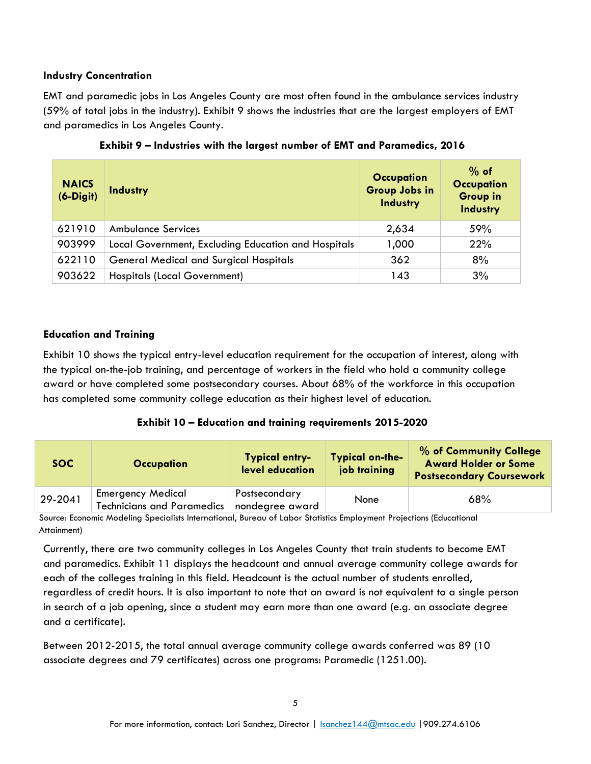### **Industry Concentration**

EMT and paramedic jobs in Los Angeles County are most often found in the ambulance services industry (59% of total jobs in the industry). Exhibit 9 shows the industries that are the largest employers of EMT and paramedics in Los Angeles County.

| <b>NAICS</b><br>$(6-Digit)$ | <b>Industry</b>                                     | <b>Occupation</b><br>Group Jobs in<br><b>Industry</b> | $%$ of<br><b>Occupation</b><br><b>Group in</b><br>Industry |
|-----------------------------|-----------------------------------------------------|-------------------------------------------------------|------------------------------------------------------------|
| 621910                      | <b>Ambulance Services</b>                           | 2,634                                                 | 59%                                                        |
| 903999                      | Local Government, Excluding Education and Hospitals | 1,000                                                 | 22%                                                        |
| 622110                      | <b>General Medical and Surgical Hospitals</b>       | 362                                                   | 8%                                                         |
| 903622                      | <b>Hospitals (Local Government)</b>                 | 143                                                   | 3%                                                         |

**Exhibit 9 – Industries with the largest number of EMT and Paramedics, 2016**

# **Education and Training**

Exhibit 10 shows the typical entry-level education requirement for the occupation of interest, along with the typical on-the-job training, and percentage of workers in the field who hold a community college award or have completed some postsecondary courses. About 68% of the workforce in this occupation has completed some community college education as their highest level of education.

# **Exhibit 10 – Education and training requirements 2015-2020**

| SOC.    | <b>Occupation</b>                                             | <b>Typical entry-</b><br>level education | <b>Typical on-the-</b><br>job training | % of Community College<br><b>Award Holder or Some</b><br><b>Postsecondary Coursework</b> |
|---------|---------------------------------------------------------------|------------------------------------------|----------------------------------------|------------------------------------------------------------------------------------------|
| 29-2041 | <b>Emergency Medical</b><br><b>Technicians and Paramedics</b> | Postsecondary<br>nondegree award         | None                                   | 68%                                                                                      |

Source: Economic Modeling Specialists International, Bureau of Labor Statistics Employment Projections (Educational Attainment)

Currently, there are two community colleges in Los Angeles County that train students to become EMT and paramedics. Exhibit 11 displays the headcount and annual average community college awards for each of the colleges training in this field. Headcount is the actual number of students enrolled, regardless of credit hours. It is also important to note that an award is not equivalent to a single person in search of a job opening, since a student may earn more than one award (e.g. an associate degree and a certificate).

Between 2012-2015, the total annual average community college awards conferred was 89 (10 associate degrees and 79 certificates) across one programs: Paramedic (1251.00).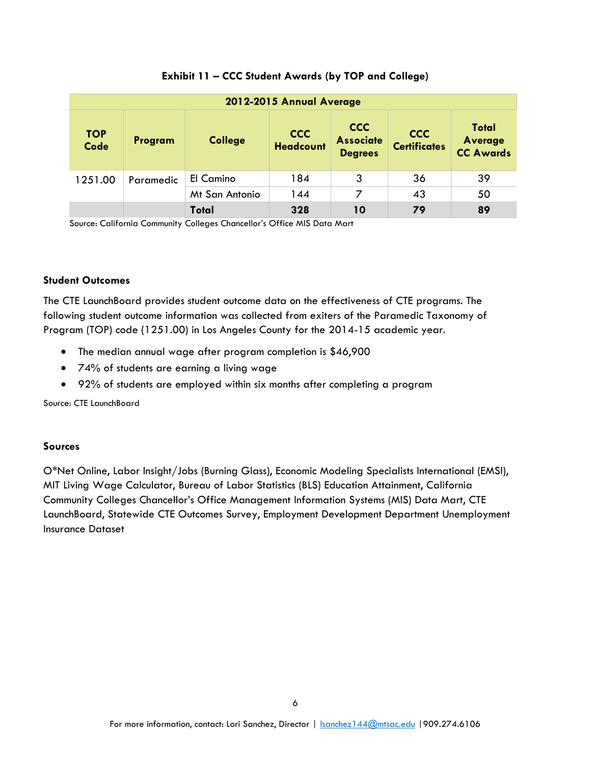| 2012-2015 Annual Average  |           |                |                                |                                                  |                                   |                                                    |
|---------------------------|-----------|----------------|--------------------------------|--------------------------------------------------|-----------------------------------|----------------------------------------------------|
| <b>TOP</b><br><b>Code</b> | Program   | <b>College</b> | <b>CCC</b><br><b>Headcount</b> | <b>CCC</b><br><b>Associate</b><br><b>Degrees</b> | <b>CCC</b><br><b>Certificates</b> | <b>Total</b><br><b>Average</b><br><b>CC Awards</b> |
| 1251.00                   | Paramedic | El Camino      | 184                            | 3                                                | 36                                | 39                                                 |
|                           |           | Mt San Antonio | 144                            | 7                                                | 43                                | 50                                                 |
|                           |           | Total          | 328                            | 10                                               | 79                                | 89                                                 |

## **Exhibit 11 – CCC Student Awards (by TOP and College)**

Source: California Community Colleges Chancellor's Office MIS Data Mart

#### **Student Outcomes**

The CTE LaunchBoard provides student outcome data on the effectiveness of CTE programs. The following student outcome information was collected from exiters of the Paramedic Taxonomy of Program (TOP) code (1251.00) in Los Angeles County for the 2014-15 academic year.

- The median annual wage after program completion is \$46,900
- 74% of students are earning a living wage
- 92% of students are employed within six months after completing a program

Source: CTE LaunchBoard

#### **Sources**

O\*Net Online, Labor Insight/Jobs (Burning Glass), Economic Modeling Specialists International (EMSI), MIT Living Wage Calculator, Bureau of Labor Statistics (BLS) Education Attainment, California Community Colleges Chancellor's Office Management Information Systems (MIS) Data Mart, CTE LaunchBoard, Statewide CTE Outcomes Survey, Employment Development Department Unemployment Insurance Dataset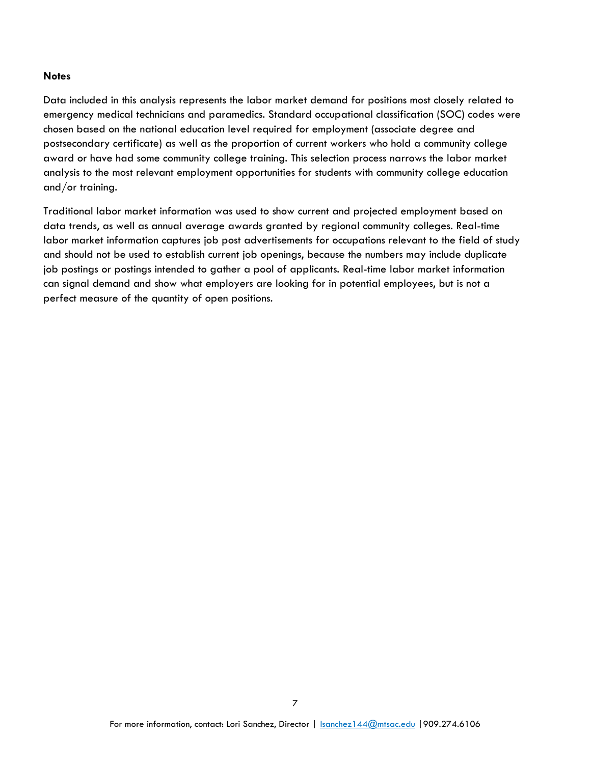#### **Notes**

Data included in this analysis represents the labor market demand for positions most closely related to emergency medical technicians and paramedics. Standard occupational classification (SOC) codes were chosen based on the national education level required for employment (associate degree and postsecondary certificate) as well as the proportion of current workers who hold a community college award or have had some community college training. This selection process narrows the labor market analysis to the most relevant employment opportunities for students with community college education and/or training.

Traditional labor market information was used to show current and projected employment based on data trends, as well as annual average awards granted by regional community colleges. Real-time labor market information captures job post advertisements for occupations relevant to the field of study and should not be used to establish current job openings, because the numbers may include duplicate job postings or postings intended to gather a pool of applicants. Real-time labor market information can signal demand and show what employers are looking for in potential employees, but is not a perfect measure of the quantity of open positions.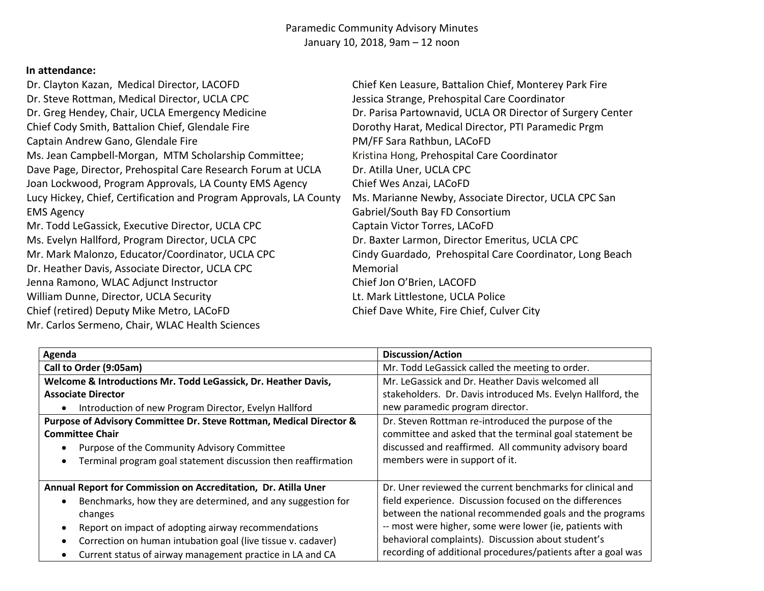# Paramedic Community Advisory Minutes January 10, 2018, 9am – 12 noon

# **In attendance:**

| Dr. Clayton Kazan, Medical Director, LACOFD                        | Chief Ken Leasure, Battalion Chief, Monterey Park Fire     |
|--------------------------------------------------------------------|------------------------------------------------------------|
| Dr. Steve Rottman, Medical Director, UCLA CPC                      | Jessica Strange, Prehospital Care Coordinator              |
| Dr. Greg Hendey, Chair, UCLA Emergency Medicine                    | Dr. Parisa Partownavid, UCLA OR Director of Surgery Center |
| Chief Cody Smith, Battalion Chief, Glendale Fire                   | Dorothy Harat, Medical Director, PTI Paramedic Prgm        |
| Captain Andrew Gano, Glendale Fire                                 | PM/FF Sara Rathbun, LACoFD                                 |
| Ms. Jean Campbell-Morgan, MTM Scholarship Committee;               | Kristina Hong, Prehospital Care Coordinator                |
| Dave Page, Director, Prehospital Care Research Forum at UCLA       | Dr. Atilla Uner, UCLA CPC                                  |
| Joan Lockwood, Program Approvals, LA County EMS Agency             | Chief Wes Anzai, LACoFD                                    |
| Lucy Hickey, Chief, Certification and Program Approvals, LA County | Ms. Marianne Newby, Associate Director, UCLA CPC San       |
| <b>EMS Agency</b>                                                  | Gabriel/South Bay FD Consortium                            |
| Mr. Todd LeGassick, Executive Director, UCLA CPC                   | Captain Victor Torres, LACoFD                              |
| Ms. Evelyn Hallford, Program Director, UCLA CPC                    | Dr. Baxter Larmon, Director Emeritus, UCLA CPC             |
| Mr. Mark Malonzo, Educator/Coordinator, UCLA CPC                   | Cindy Guardado, Prehospital Care Coordinator, Long Beach   |
| Dr. Heather Davis, Associate Director, UCLA CPC                    | Memorial                                                   |
| Jenna Ramono, WLAC Adjunct Instructor                              | Chief Jon O'Brien, LACOFD                                  |
| William Dunne, Director, UCLA Security                             | Lt. Mark Littlestone, UCLA Police                          |
| Chief (retired) Deputy Mike Metro, LACoFD                          | Chief Dave White, Fire Chief, Culver City                  |
| Mr. Carlos Sermeno, Chair, WLAC Health Sciences                    |                                                            |

| Agenda                                                                     | <b>Discussion/Action</b>                                     |
|----------------------------------------------------------------------------|--------------------------------------------------------------|
| Call to Order (9:05am)                                                     | Mr. Todd LeGassick called the meeting to order.              |
| Welcome & Introductions Mr. Todd LeGassick, Dr. Heather Davis,             | Mr. LeGassick and Dr. Heather Davis welcomed all             |
| <b>Associate Director</b>                                                  | stakeholders. Dr. Davis introduced Ms. Evelyn Hallford, the  |
| Introduction of new Program Director, Evelyn Hallford<br>$\bullet$         | new paramedic program director.                              |
| Purpose of Advisory Committee Dr. Steve Rottman, Medical Director &        | Dr. Steven Rottman re-introduced the purpose of the          |
| <b>Committee Chair</b>                                                     | committee and asked that the terminal goal statement be      |
| Purpose of the Community Advisory Committee<br>$\bullet$                   | discussed and reaffirmed. All community advisory board       |
| Terminal program goal statement discussion then reaffirmation<br>$\bullet$ | members were in support of it.                               |
| Annual Report for Commission on Accreditation, Dr. Atilla Uner             | Dr. Uner reviewed the current benchmarks for clinical and    |
| Benchmarks, how they are determined, and any suggestion for<br>$\bullet$   | field experience. Discussion focused on the differences      |
| changes                                                                    | between the national recommended goals and the programs      |
| Report on impact of adopting airway recommendations<br>$\bullet$           | -- most were higher, some were lower (ie, patients with      |
| Correction on human intubation goal (live tissue v. cadaver)<br>$\bullet$  | behavioral complaints). Discussion about student's           |
| Current status of airway management practice in LA and CA<br>$\bullet$     | recording of additional procedures/patients after a goal was |